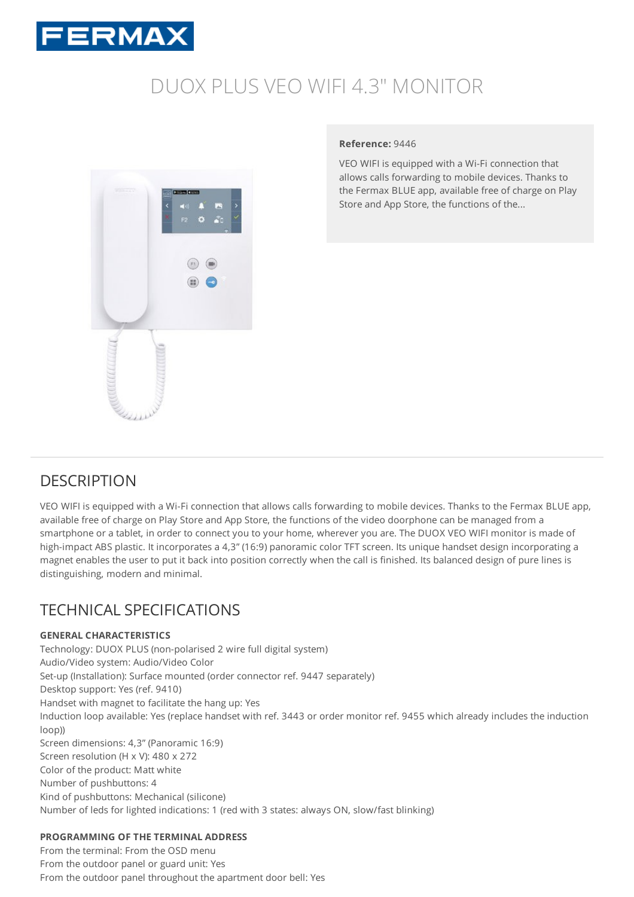

# DUOX PLUS VEO WIFI 4.3" [MONITOR](https://www.fermax.com/uk/pro/products/video-door-entry-systems/systems/SF-109-duox-plus/PR-13590-duox-plus-veo-wifi-43-monitor.html)



#### **Reference:** 9446

VEO WIFI is equipped with a Wi-Fi connection that allows calls forwarding to mobile devices. Thanks to the Fermax BLUE app, available free of charge on Play Store and App Store, the functions of the...

# **DESCRIPTION**

VEO WIFI is equipped with a Wi-Fi connection that allows calls forwarding to mobile devices. Thanks to the Fermax BLUE app, available free of charge on Play Store and App Store, the functions of the video doorphone can be managed from a smartphone or a tablet, in order to connect you to your home, wherever you are. The DUOX VEO WIFI monitor is made of high-impact ABS plastic. It incorporates a 4,3" (16:9) panoramic color TFT screen. Its unique handset design incorporating a magnet enables the user to put it back into position correctly when the call is finished. Its balanced design of pure lines is distinguishing, modern and minimal.

# TECHNICAL SPECIFICATIONS

# **GENERAL CHARACTERISTICS**

Technology: DUOX PLUS (non-polarised 2 wire full digital system) Audio/Video system: Audio/Video Color Set-up (Installation): Surface mounted (order connector ref. 9447 separately) Desktop support: Yes (ref. 9410) Handset with magnet to facilitate the hang up: Yes Induction loop available: Yes (replace handset with ref. 3443 or order monitor ref. 9455 which already includes the induction loop)) Screen dimensions: 4,3" (Panoramic 16:9) Screen resolution (H x V): 480 x 272 Color of the product: Matt white Number of pushbuttons: 4 Kind of pushbuttons: Mechanical (silicone) Number of leds for lighted indications: 1 (red with 3 states: always ON, slow/fast blinking)

# **PROGRAMMING OF THE TERMINAL ADDRESS**

From the terminal: From the OSD menu From the outdoor panel or guard unit: Yes From the outdoor panel throughout the apartment door bell: Yes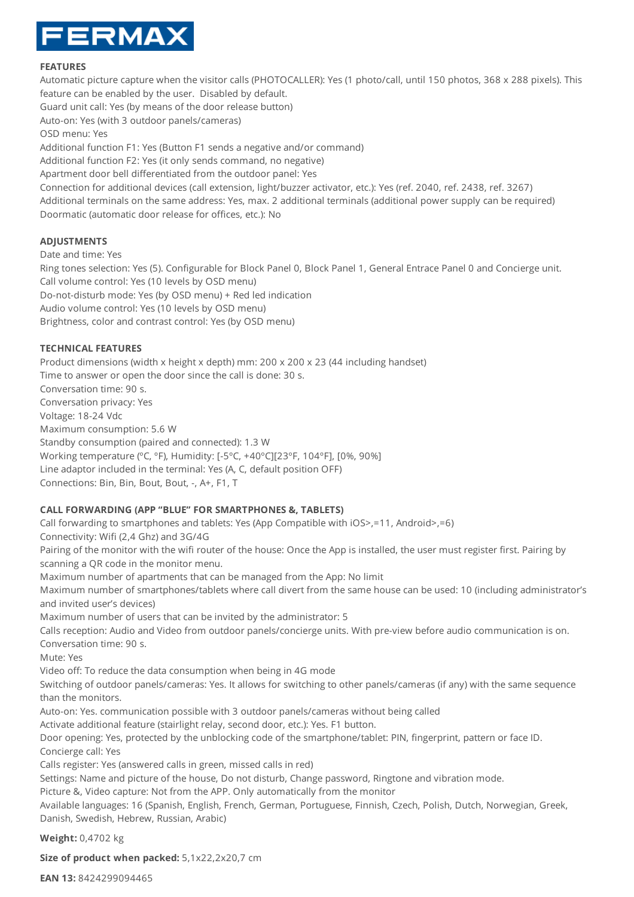

#### **FEATURES**

Automatic picture capture when the visitor calls (PHOTOCALLER): Yes (1 photo/call, until 150 photos, 368 x 288 pixels). This feature can be enabled by the user. Disabled by default. Guard unit call: Yes (by means of the door release button) Auto-on: Yes (with 3 outdoor panels/cameras) OSD menu: Yes Additional function F1: Yes (Button F1 sends a negative and/or command) Additional function F2: Yes (it only sends command, no negative) Apartment door bell differentiated from the outdoor panel: Yes Connection for additional devices (call extension, light/buzzer activator, etc.): Yes (ref. 2040, ref. 2438, ref. 3267) Additional terminals on the same address: Yes, max. 2 additional terminals (additional power supply can be required) Doormatic (automatic door release for offices, etc.): No

### **ADJUSTMENTS**

Date and time: Yes

Ring tones selection: Yes (5). Configurable for Block Panel 0, Block Panel 1, General Entrace Panel 0 and Concierge unit. Call volume control: Yes (10 levels by OSD menu) Do-not-disturb mode: Yes (by OSD menu) + Red led indication Audio volume control: Yes (10 levels by OSD menu) Brightness, color and contrast control: Yes (by OSD menu)

### **TECHNICAL FEATURES**

Product dimensions (width x height x depth) mm: 200 x 200 x 23 (44 including handset) Time to answer or open the door since the call is done: 30 s. Conversation time: 90 s. Conversation privacy: Yes Voltage: 18-24 Vdc Maximum consumption: 5.6 W Standby consumption (paired and connected): 1.3 W Working temperature (ºC, ºF), Humidity: [-5ºC, +40ºC][23ºF, 104ºF], [0%, 90%] Line adaptor included in the terminal: Yes (A, C, default position OFF) Connections: Bin, Bin, Bout, Bout, -, A+, F1, T

# **CALL FORWARDING (APP "BLUE" FOR SMARTPHONES &, TABLETS)**

Call forwarding to smartphones and tablets: Yes (App Compatible with iOS>,=11, Android>,=6)

Connectivity: Wifi (2,4 Ghz) and 3G/4G

Pairing of the monitor with the wifi router of the house: Once the App is installed, the user must register first. Pairing by scanning a QR code in the monitor menu.

Maximum number of apartments that can be managed from the App: No limit

Maximum number of smartphones/tablets where call divert from the same house can be used: 10 (including administrator's and invited user's devices)

Maximum number of users that can be invited by the administrator: 5

Calls reception: Audio and Video from outdoor panels/concierge units. With pre-view before audio communication is on. Conversation time: 90 s.

Mute: Yes

Video off: To reduce the data consumption when being in 4G mode

Switching of outdoor panels/cameras: Yes. It allows for switching to other panels/cameras (if any) with the same sequence than the monitors.

Auto-on: Yes. communication possible with 3 outdoor panels/cameras without being called

Activate additional feature (stairlight relay, second door, etc.): Yes. F1 button.

Door opening: Yes, protected by the unblocking code of the smartphone/tablet: PIN, fingerprint, pattern or face ID. Concierge call: Yes

Calls register: Yes (answered calls in green, missed calls in red)

Settings: Name and picture of the house, Do not disturb, Change password, Ringtone and vibration mode.

Picture &, Video capture: Not from the APP. Only automatically from the monitor

Available languages: 16 (Spanish, English, French, German, Portuguese, Finnish, Czech, Polish, Dutch, Norwegian, Greek, Danish, Swedish, Hebrew, Russian, Arabic)

**Weight:** 0,4702 kg

**Size of product when packed:** 5,1x22,2x20,7 cm

**EAN 13:** 8424299094465